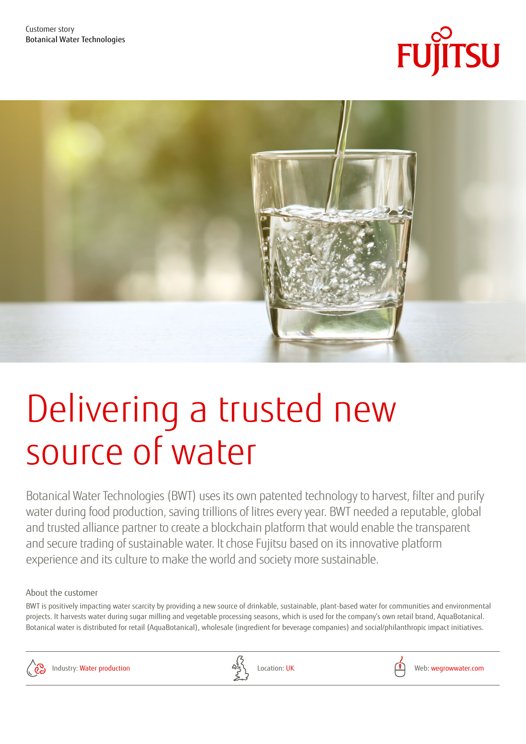



# Delivering a trusted new source of water

Botanical Water Technologies (BWT) uses its own patented technology to harvest, filter and purify water during food production, saving trillions of litres every year. BWT needed a reputable, global and trusted alliance partner to create a blockchain platform that would enable the transparent and secure trading of sustainable water. It chose Fujitsu based on its innovative platform experience and its culture to make the world and society more sustainable.

# About the customer

BWT is positively impacting water scarcity by providing a new source of drinkable, sustainable, plant-based water for communities and environmental projects. It harvests water during sugar milling and vegetable processing seasons, which is used for the company's own retail brand, AquaBotanical. Botanical water is distributed for retail (AquaBotanical), wholesale (ingredient for beverage companies) and social/philanthropic impact initiatives.



Industry: Water production  $\frac{\partial^2 y}{\partial x}$  Location: UK Location: UK Location: UK Location: UK